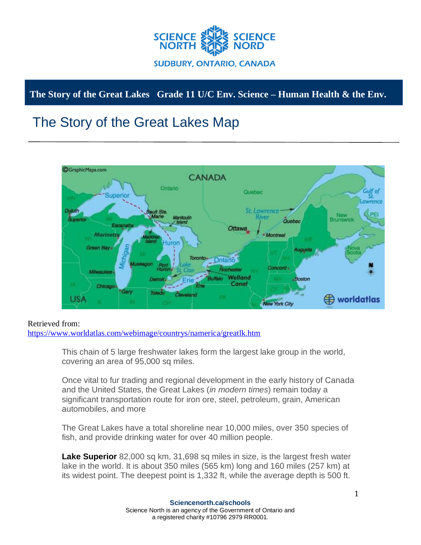

## **The Story of the Great Lakes Grade 11 U/C Env. Science – Human Health & the Env.**

## The Story of the Great Lakes Map



## Retrieved from:

<https://www.worldatlas.com/webimage/countrys/namerica/greatlk.htm>

This chain of 5 large freshwater lakes form the largest lake group in the world, covering an area of 95,000 sq miles.

Once vital to fur trading and regional development in the early history of Canada and the United States, the Great Lakes (*in modern times*) remain today a significant transportation route for iron ore, steel, petroleum, grain, American automobiles, and more

The Great Lakes have a total shoreline near 10,000 miles, over 350 species of fish, and provide drinking water for over 40 million people.

**Lake Superior** 82,000 sq km, 31,698 sq miles in size, is the largest fresh water lake in the world. It is about 350 miles (565 km) long and 160 miles (257 km) at its widest point. The deepest point is 1,332 ft, while the average depth is 500 ft.